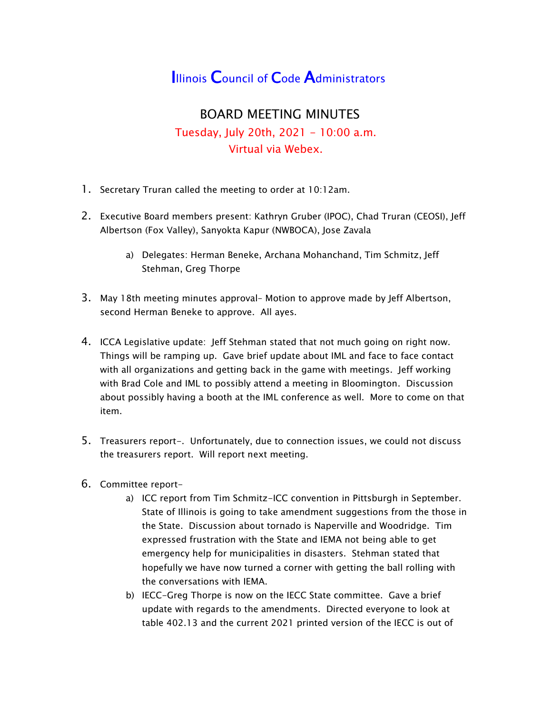## **Illinois Council of Code Administrators**

## BOARD MEETING MINUTES Tuesday, July 20th, 2021 - 10:00 a.m. Virtual via Webex.

- 1. Secretary Truran called the meeting to order at 10:12am.
- 2. Executive Board members present: Kathryn Gruber (IPOC), Chad Truran (CEOSI), Jeff Albertson (Fox Valley), Sanyokta Kapur (NWBOCA), Jose Zavala
	- a) Delegates: Herman Beneke, Archana Mohanchand, Tim Schmitz, Jeff Stehman, Greg Thorpe
- 3. May 18th meeting minutes approval– Motion to approve made by Jeff Albertson, second Herman Beneke to approve. All ayes.
- 4. ICCA Legislative update: Jeff Stehman stated that not much going on right now. Things will be ramping up. Gave brief update about IML and face to face contact with all organizations and getting back in the game with meetings. Jeff working with Brad Cole and IML to possibly attend a meeting in Bloomington. Discussion about possibly having a booth at the IML conference as well. More to come on that item.
- 5. Treasurers report-. Unfortunately, due to connection issues, we could not discuss the treasurers report. Will report next meeting.
- 6. Committee report
	- a) ICC report from Tim Schmitz-ICC convention in Pittsburgh in September. State of Illinois is going to take amendment suggestions from the those in the State. Discussion about tornado is Naperville and Woodridge. Tim expressed frustration with the State and IEMA not being able to get emergency help for municipalities in disasters. Stehman stated that hopefully we have now turned a corner with getting the ball rolling with the conversations with IEMA.
	- b) IECC-Greg Thorpe is now on the IECC State committee. Gave a brief update with regards to the amendments. Directed everyone to look at table 402.13 and the current 2021 printed version of the IECC is out of